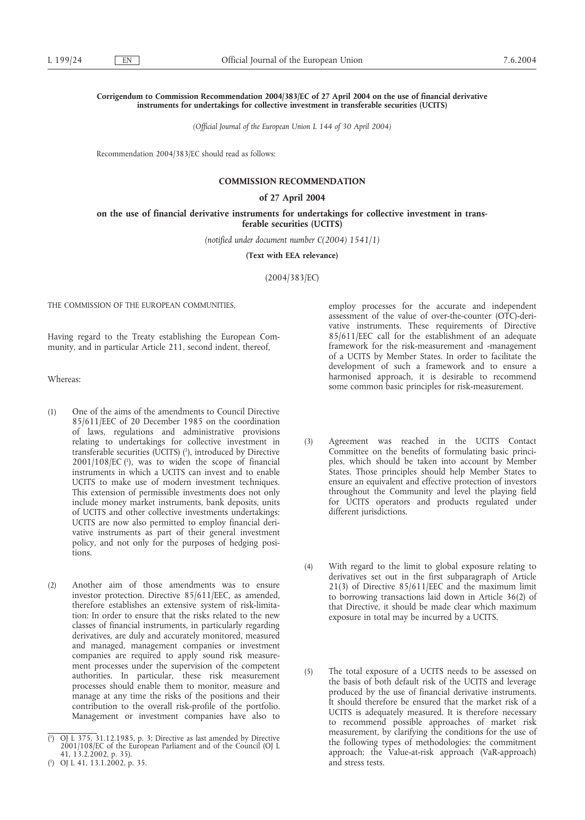## **Corrigendum to Commission Recommendation 2004/383/EC of 27 April 2004 on the use of financial derivative instruments for undertakings for collective investment in transferable securities (UCITS)**

*(Official Journal of the European Union L 144 of 30 April 2004)*

Recommendation 2004/383/EC should read as follows:

# **COMMISSION RECOMMENDATION**

#### **of 27 April 2004**

### **on the use of financial derivative instruments for undertakings for collective investment in transferable securities (UCITS)**

*(notified under document number C(2004) 1541/1)*

**(Text with EEA relevance)**

(2004/383/EC)

THE COMMISSION OF THE EUROPEAN COMMUNITIES,

Having regard to the Treaty establishing the European Community, and in particular Article 211, second indent, thereof,

Whereas:

- (1) One of the aims of the amendments to Council Directive 85/611/EEC of 20 December 1985 on the coordination of laws, regulations and administrative provisions relating to undertakings for collective investment in transferable securities (UCITS) (<sup>1</sup>), introduced by Directive  $2001/108/EC$  (1), was to widen the scope of financial instruments in which a UCITS can invest and to enable UCITS to make use of modern investment techniques. This extension of permissible investments does not only include money market instruments, bank deposits, units of UCITS and other collective investments undertakings: UCITS are now also permitted to employ financial derivative instruments as part of their general investment policy, and not only for the purposes of hedging positions.
- (2) Another aim of those amendments was to ensure investor protection. Directive 85/611/EEC, as amended, therefore establishes an extensive system of risk-limitation: In order to ensure that the risks related to the new classes of financial instruments, in particularly regarding derivatives, are duly and accurately monitored, measured and managed, management companies or investment companies are required to apply sound risk measurement processes under the supervision of the competent authorities. In particular, these risk measurement processes should enable them to monitor, measure and manage at any time the risks of the positions and their contribution to the overall risk-profile of the portfolio. Management or investment companies have also to

employ processes for the accurate and independent assessment of the value of over-the-counter (OTC)-derivative instruments. These requirements of Directive 85/611/EEC call for the establishment of an adequate framework for the risk-measurement and -management of a UCITS by Member States. In order to facilitate the development of such a framework and to ensure a harmonised approach, it is desirable to recommend some common basic principles for risk-measurement.

- (3) Agreement was reached in the UCITS Contact Committee on the benefits of formulating basic principles, which should be taken into account by Member States. Those principles should help Member States to ensure an equivalent and effective protection of investors throughout the Community and level the playing field for UCITS operators and products regulated under different jurisdictions.
- (4) With regard to the limit to global exposure relating to derivatives set out in the first subparagraph of Article 21(3) of Directive 85/611/EEC and the maximum limit to borrowing transactions laid down in Article 36(2) of that Directive, it should be made clear which maximum exposure in total may be incurred by a UCITS.
- (5) The total exposure of a UCITS needs to be assessed on the basis of both default risk of the UCITS and leverage produced by the use of financial derivative instruments. It should therefore be ensured that the market risk of a UCITS is adequately measured. It is therefore necessary to recommend possible approaches of market risk measurement, by clarifying the conditions for the use of the following types of methodologies: the commitment approach; the Value-at-risk approach (VaR-approach) and stress tests.

<sup>(</sup> 1 ) OJ L 375, 31.12.1985, p. 3; Directive as last amended by Directive 2001/108/EC of the European Parliament and of the Council (OJ L 41, 13.2.2002, p. 35).

<sup>(</sup> 1 ) OJ L 41, 13.1.2002, p. 35.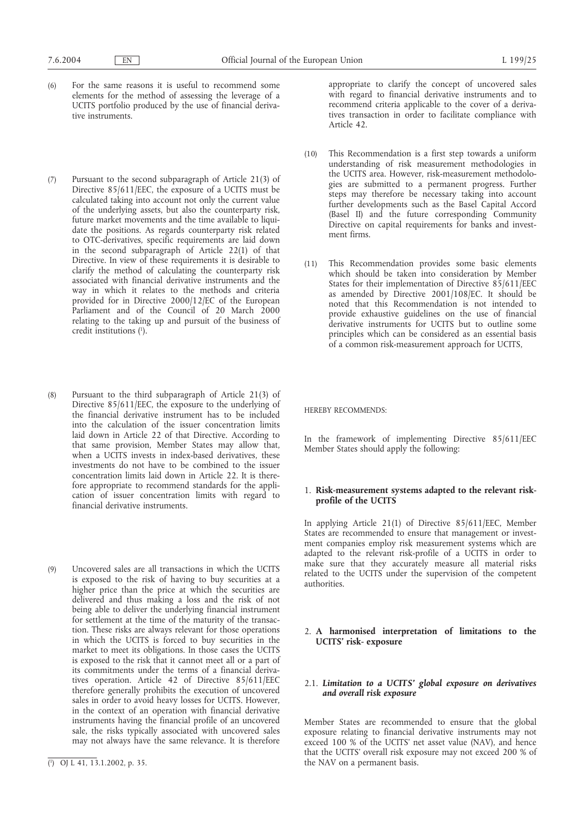- (6) For the same reasons it is useful to recommend some elements for the method of assessing the leverage of a UCITS portfolio produced by the use of financial derivative instruments.
- (7) Pursuant to the second subparagraph of Article 21(3) of Directive 85/611/EEC, the exposure of a UCITS must be calculated taking into account not only the current value of the underlying assets, but also the counterparty risk, future market movements and the time available to liquidate the positions. As regards counterparty risk related to OTC-derivatives, specific requirements are laid down in the second subparagraph of Article 22(1) of that Directive. In view of these requirements it is desirable to clarify the method of calculating the counterparty risk associated with financial derivative instruments and the way in which it relates to the methods and criteria provided for in Directive 2000/12/EC of the European Parliament and of the Council of 20 March 2000 relating to the taking up and pursuit of the business of credit institutions (1 ).
- (8) Pursuant to the third subparagraph of Article 21(3) of Directive 85/611/EEC, the exposure to the underlying of the financial derivative instrument has to be included into the calculation of the issuer concentration limits laid down in Article 22 of that Directive. According to that same provision, Member States may allow that, when a UCITS invests in index-based derivatives, these investments do not have to be combined to the issuer concentration limits laid down in Article 22. It is therefore appropriate to recommend standards for the application of issuer concentration limits with regard to financial derivative instruments.
- (9) Uncovered sales are all transactions in which the UCITS is exposed to the risk of having to buy securities at a higher price than the price at which the securities are delivered and thus making a loss and the risk of not being able to deliver the underlying financial instrument for settlement at the time of the maturity of the transaction. These risks are always relevant for those operations in which the UCITS is forced to buy securities in the market to meet its obligations. In those cases the UCITS is exposed to the risk that it cannot meet all or a part of its commitments under the terms of a financial derivatives operation. Article 42 of Directive 85/611/EEC therefore generally prohibits the execution of uncovered sales in order to avoid heavy losses for UCITS. However, in the context of an operation with financial derivative instruments having the financial profile of an uncovered sale, the risks typically associated with uncovered sales may not always have the same relevance. It is therefore

appropriate to clarify the concept of uncovered sales with regard to financial derivative instruments and to recommend criteria applicable to the cover of a derivatives transaction in order to facilitate compliance with Article 42.

- (10) This Recommendation is a first step towards a uniform understanding of risk measurement methodologies in the UCITS area. However, risk-measurement methodologies are submitted to a permanent progress. Further steps may therefore be necessary taking into account further developments such as the Basel Capital Accord (Basel II) and the future corresponding Community Directive on capital requirements for banks and investment firms.
- (11) This Recommendation provides some basic elements which should be taken into consideration by Member States for their implementation of Directive 85/611/EEC as amended by Directive 2001/108/EC. It should be noted that this Recommendation is not intended to provide exhaustive guidelines on the use of financial derivative instruments for UCITS but to outline some principles which can be considered as an essential basis of a common risk-measurement approach for UCITS,

HEREBY RECOMMENDS:

In the framework of implementing Directive 85/611/EEC Member States should apply the following:

# 1. **Risk-measurement systems adapted to the relevant riskprofile of the UCITS**

In applying Article 21(1) of Directive 85/611/EEC, Member States are recommended to ensure that management or investment companies employ risk measurement systems which are adapted to the relevant risk-profile of a UCITS in order to make sure that they accurately measure all material risks related to the UCITS under the supervision of the competent authorities.

## 2. **A harmonised interpretation of limitations to the UCITS' risk- exposure**

# 2.1. *Limitation to a UCITS' global exposure on derivatives and overall risk exposure*

Member States are recommended to ensure that the global exposure relating to financial derivative instruments may not exceed 100 % of the UCITS' net asset value (NAV), and hence that the UCITS' overall risk exposure may not exceed 200 % of the NAV on a permanent basis.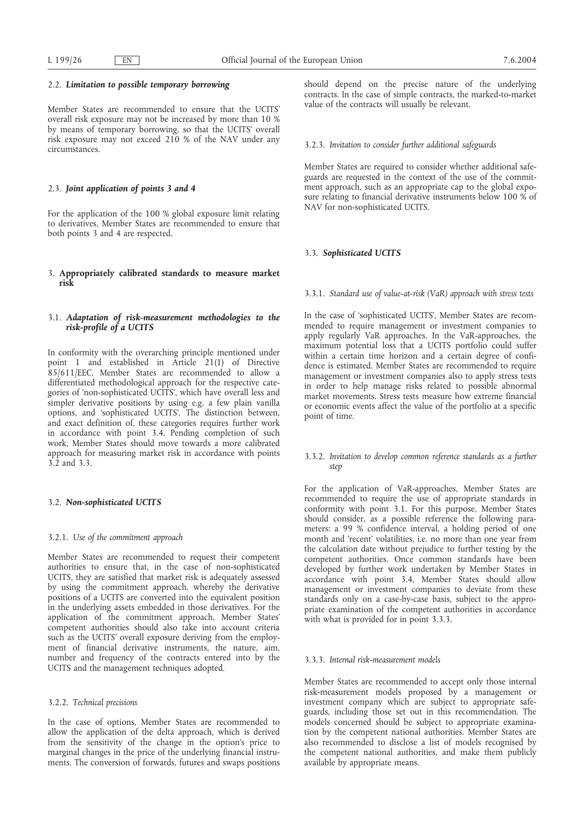#### 2.2. *Limitation to possible temporary borrowing*

Member States are recommended to ensure that the UCITS' overall risk exposure may not be increased by more than 10 % by means of temporary borrowing, so that the UCITS' overall risk exposure may not exceed 210 % of the NAV under any circumstances.

## 2.3. *Joint application of points 3 and 4*

For the application of the 100 % global exposure limit relating to derivatives, Member States are recommended to ensure that both points 3 and 4 are respected.

# 3. **Appropriately calibrated standards to measure market risk**

# 3.1. *Adaptation of risk-measurement methodologies to the risk-profile of a UCITS*

In conformity with the overarching principle mentioned under point 1 and established in Article 21(1) of Directive 85/611/EEC, Member States are recommended to allow a differentiated methodological approach for the respective categories of 'non-sophisticated UCITS', which have overall less and simpler derivative positions by using e.g. a few plain vanilla options, and 'sophisticated UCITS'. The distinction between, and exact definition of, these categories requires further work in accordance with point 3.4. Pending completion of such work, Member States should move towards a more calibrated approach for measuring market risk in accordance with points 3.2 and 3.3.

## 3.2. *Non-sophisticated UCITS*

#### 3.2.1. *Use of the commitment approach*

Member States are recommended to request their competent authorities to ensure that, in the case of non-sophisticated UCITS, they are satisfied that market risk is adequately assessed by using the commitment approach, whereby the derivative positions of a UCITS are converted into the equivalent position in the underlying assets embedded in those derivatives. For the application of the commitment approach, Member States' competent authorities should also take into account criteria such as the UCITS' overall exposure deriving from the employment of financial derivative instruments, the nature, aim, number and frequency of the contracts entered into by the UCITS and the management techniques adopted.

## 3.2.2. *Technical precisions*

In the case of options, Member States are recommended to allow the application of the delta approach, which is derived from the sensitivity of the change in the option's price to marginal changes in the price of the underlying financial instruments. The conversion of forwards, futures and swaps positions should depend on the precise nature of the underlying contracts. In the case of simple contracts, the marked-to-market value of the contracts will usually be relevant.

### 3.2.3. *Invitation to consider further additional safeguards*

Member States are required to consider whether additional safeguards are requested in the context of the use of the commitment approach, such as an appropriate cap to the global exposure relating to financial derivative instruments below 100 % of NAV for non-sophisticated UCITS.

## 3.3. *Sophisticated UCITS*

## 3.3.1. *Standard use of value-at-risk (VaR) approach with stress tests*

In the case of 'sophisticated UCITS', Member States are recommended to require management or investment companies to apply regularly VaR approaches. In the VaR-approaches, the maximum potential loss that a UCITS portfolio could suffer within a certain time horizon and a certain degree of confidence is estimated. Member States are recommended to require management or investment companies also to apply stress tests in order to help manage risks related to possible abnormal market movements. Stress tests measure how extreme financial or economic events affect the value of the portfolio at a specific point of time.

## 3.3.2. *Invitation to develop common reference standards as a further step*

For the application of VaR-approaches, Member States are recommended to require the use of appropriate standards in conformity with point 3.1. For this purpose, Member States should consider, as a possible reference the following parameters: a 99 % confidence interval, a holding period of one month and 'recent' volatilities, i.e. no more than one year from the calculation date without prejudice to further testing by the competent authorities. Once common standards have been developed by further work undertaken by Member States in accordance with point 3.4, Member States should allow management or investment companies to deviate from these standards only on a case-by-case basis, subject to the appropriate examination of the competent authorities in accordance with what is provided for in point 3.3.3.

### 3.3.3. *Internal risk-measurement models*

Member States are recommended to accept only those internal risk-measurement models proposed by a management or investment company which are subject to appropriate safeguards, including those set out in this recommendation. The models concerned should be subject to appropriate examination by the competent national authorities. Member States are also recommended to disclose a list of models recognised by the competent national authorities, and make them publicly available by appropriate means.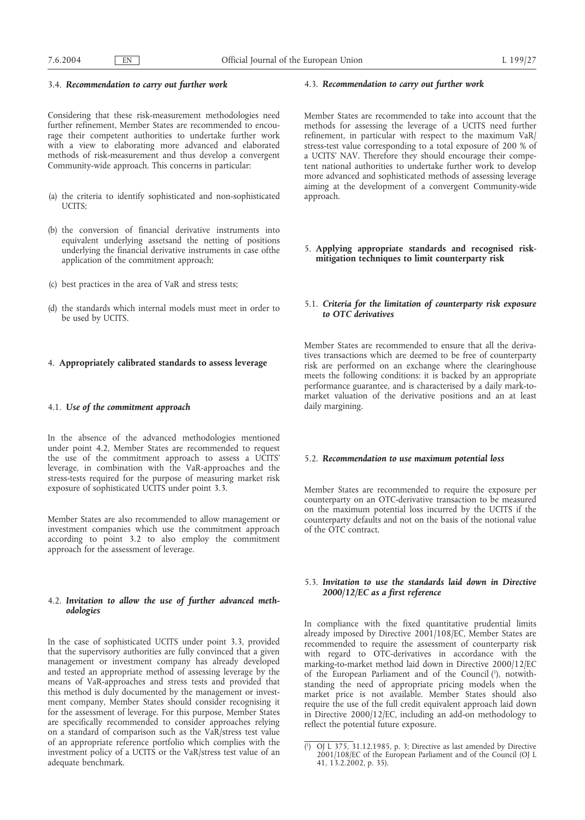#### 3.4. *Recommendation to carry out further work*

Considering that these risk-measurement methodologies need further refinement, Member States are recommended to encourage their competent authorities to undertake further work with a view to elaborating more advanced and elaborated methods of risk-measurement and thus develop a convergent Community-wide approach. This concerns in particular:

- (a) the criteria to identify sophisticated and non-sophisticated UCITS;
- (b) the conversion of financial derivative instruments into equivalent underlying assetsand the netting of positions underlying the financial derivative instruments in case ofthe application of the commitment approach;
- (c) best practices in the area of VaR and stress tests;
- (d) the standards which internal models must meet in order to be used by UCITS.

#### 4. **Appropriately calibrated standards to assess leverage**

### 4.1. *Use of the commitment approach*

In the absence of the advanced methodologies mentioned under point 4.2, Member States are recommended to request the use of the commitment approach to assess a UCITS' leverage, in combination with the VaR-approaches and the stress-tests required for the purpose of measuring market risk exposure of sophisticated UCITS under point 3.3.

Member States are also recommended to allow management or investment companies which use the commitment approach according to point 3.2 to also employ the commitment approach for the assessment of leverage.

### 4.2. *Invitation to allow the use of further advanced methodologies*

In the case of sophisticated UCITS under point 3.3, provided that the supervisory authorities are fully convinced that a given management or investment company has already developed and tested an appropriate method of assessing leverage by the means of VaR-approaches and stress tests and provided that this method is duly documented by the management or investment company, Member States should consider recognising it for the assessment of leverage. For this purpose, Member States are specifically recommended to consider approaches relying on a standard of comparison such as the VaR/stress test value of an appropriate reference portfolio which complies with the investment policy of a UCITS or the VaR/stress test value of an adequate benchmark.

#### 4.3. *Recommendation to carry out further work*

Member States are recommended to take into account that the methods for assessing the leverage of a UCITS need further refinement, in particular with respect to the maximum VaR/ stress-test value corresponding to a total exposure of 200 % of a UCITS' NAV. Therefore they should encourage their competent national authorities to undertake further work to develop more advanced and sophisticated methods of assessing leverage aiming at the development of a convergent Community-wide approach.

5. **Applying appropriate standards and recognised riskmitigation techniques to limit counterparty risk**

### 5.1. *Criteria for the limitation of counterparty risk exposure to OTC derivatives*

Member States are recommended to ensure that all the derivatives transactions which are deemed to be free of counterparty risk are performed on an exchange where the clearinghouse meets the following conditions: it is backed by an appropriate performance guarantee, and is characterised by a daily mark-tomarket valuation of the derivative positions and an at least daily margining.

#### 5.2. *Recommendation to use maximum potential loss*

Member States are recommended to require the exposure per counterparty on an OTC-derivative transaction to be measured on the maximum potential loss incurred by the UCITS if the counterparty defaults and not on the basis of the notional value of the OTC contract.

## 5.3. *Invitation to use the standards laid down in Directive 2000/12/EC as a first reference*

In compliance with the fixed quantitative prudential limits already imposed by Directive 2001/108/EC, Member States are recommended to require the assessment of counterparty risk with regard to OTC-derivatives in accordance with the marking-to-market method laid down in Directive 2000/12/EC of the European Parliament and of the Council (1), notwithstanding the need of appropriate pricing models when the market price is not available. Member States should also require the use of the full credit equivalent approach laid down in Directive 2000/12/EC, including an add-on methodology to reflect the potential future exposure.

<sup>(</sup> 1 ) OJ L 375, 31.12.1985, p. 3; Directive as last amended by Directive 2001/108/EC of the European Parliament and of the Council (OJ L 41, 13.2.2002, p. 35).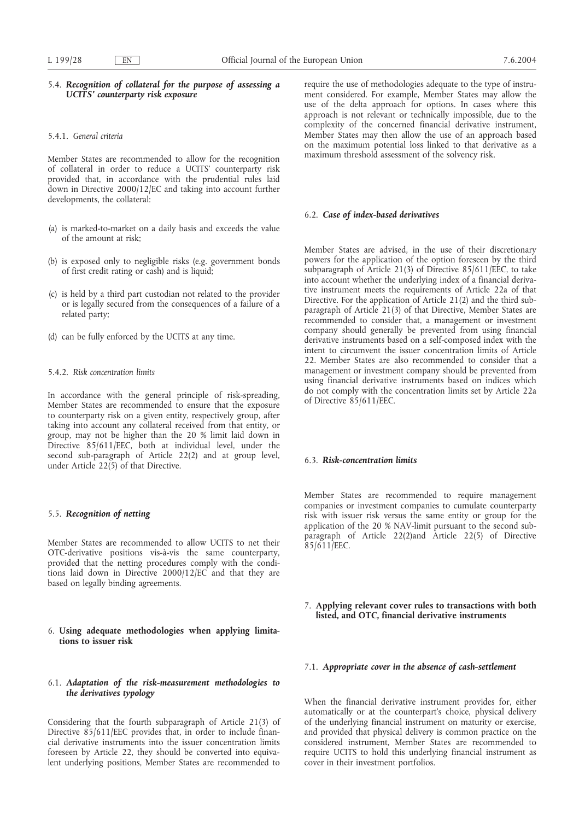## 5.4. *Recognition of collateral for the purpose of assessing a UCITS' counterparty risk exposure*

#### 5.4.1. *General criteria*

Member States are recommended to allow for the recognition of collateral in order to reduce a UCITS' counterparty risk provided that, in accordance with the prudential rules laid down in Directive 2000/12/EC and taking into account further developments, the collateral:

- (a) is marked-to-market on a daily basis and exceeds the value of the amount at risk;
- (b) is exposed only to negligible risks (e.g. government bonds of first credit rating or cash) and is liquid;
- (c) is held by a third part custodian not related to the provider or is legally secured from the consequences of a failure of a related party;
- (d) can be fully enforced by the UCITS at any time.

### 5.4.2. *Risk concentration limits*

In accordance with the general principle of risk-spreading, Member States are recommended to ensure that the exposure to counterparty risk on a given entity, respectively group, after taking into account any collateral received from that entity, or group, may not be higher than the 20 % limit laid down in Directive 85/611/EEC, both at individual level, under the second sub-paragraph of Article 22(2) and at group level, under Article  $22(5)$  of that Directive.

## 5.5. *Recognition of netting*

Member States are recommended to allow UCITS to net their OTC-derivative positions vis-à-vis the same counterparty, provided that the netting procedures comply with the conditions laid down in Directive 2000/12/EC and that they are based on legally binding agreements.

### 6. **Using adequate methodologies when applying limitations to issuer risk**

# 6.1. *Adaptation of the risk-measurement methodologies to the derivatives typology*

Considering that the fourth subparagraph of Article 21(3) of Directive 85/611/EEC provides that, in order to include financial derivative instruments into the issuer concentration limits foreseen by Article 22, they should be converted into equivalent underlying positions, Member States are recommended to

require the use of methodologies adequate to the type of instrument considered. For example, Member States may allow the use of the delta approach for options. In cases where this approach is not relevant or technically impossible, due to the complexity of the concerned financial derivative instrument, Member States may then allow the use of an approach based on the maximum potential loss linked to that derivative as a maximum threshold assessment of the solvency risk.

## 6.2. *Case of index-based derivatives*

Member States are advised, in the use of their discretionary powers for the application of the option foreseen by the third subparagraph of Article 21(3) of Directive 85/611/EEC, to take into account whether the underlying index of a financial derivative instrument meets the requirements of Article 22a of that Directive. For the application of Article 21(2) and the third subparagraph of Article 21(3) of that Directive, Member States are recommended to consider that, a management or investment company should generally be prevented from using financial derivative instruments based on a self-composed index with the intent to circumvent the issuer concentration limits of Article 22. Member States are also recommended to consider that a management or investment company should be prevented from using financial derivative instruments based on indices which do not comply with the concentration limits set by Article 22a of Directive 85/611/EEC.

#### 6.3. *Risk-concentration limits*

Member States are recommended to require management companies or investment companies to cumulate counterparty risk with issuer risk versus the same entity or group for the application of the 20 % NAV-limit pursuant to the second subparagraph of Article 22(2)and Article 22(5) of Directive  $85/611/EEC$ .

# 7. **Applying relevant cover rules to transactions with both listed, and OTC, financial derivative instruments**

# 7.1. *Appropriate cover in the absence of cash-settlement*

When the financial derivative instrument provides for, either automatically or at the counterpart's choice, physical delivery of the underlying financial instrument on maturity or exercise, and provided that physical delivery is common practice on the considered instrument, Member States are recommended to require UCITS to hold this underlying financial instrument as cover in their investment portfolios.